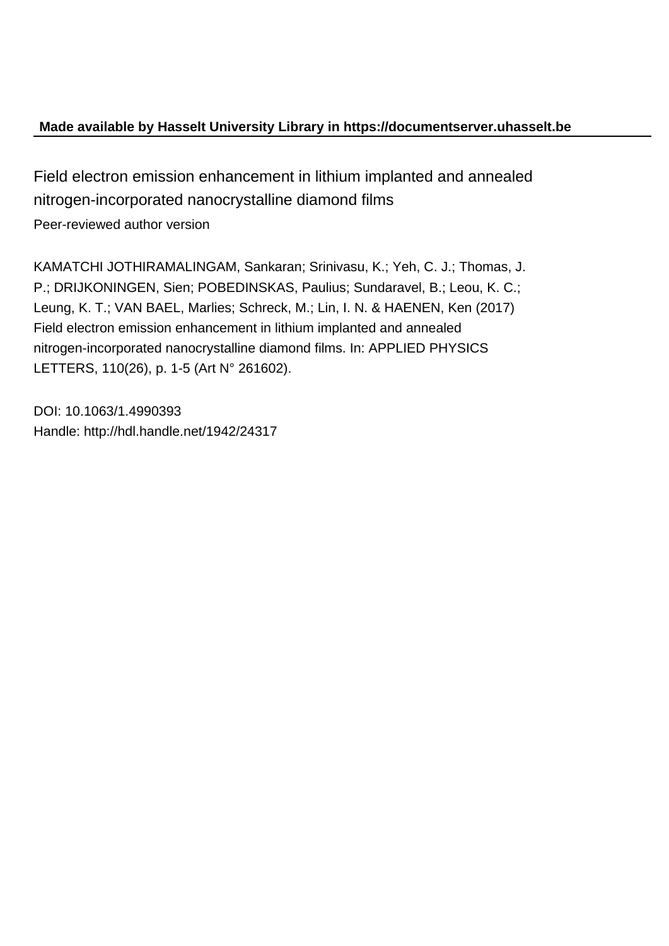## **Made available by Hasselt University Library in https://documentserver.uhasselt.be**

Field electron emission enhancement in lithium implanted and annealed nitrogen-incorporated nanocrystalline diamond films Peer-reviewed author version

KAMATCHI JOTHIRAMALINGAM, Sankaran; Srinivasu, K.; Yeh, C. J.; Thomas, J. P.; DRIJKONINGEN, Sien; POBEDINSKAS, Paulius; Sundaravel, B.; Leou, K. C.; Leung, K. T.; VAN BAEL, Marlies; Schreck, M.; Lin, I. N. & HAENEN, Ken (2017) Field electron emission enhancement in lithium implanted and annealed nitrogen-incorporated nanocrystalline diamond films. In: APPLIED PHYSICS LETTERS, 110(26), p. 1-5 (Art N° 261602).

DOI: 10.1063/1.4990393 Handle: http://hdl.handle.net/1942/24317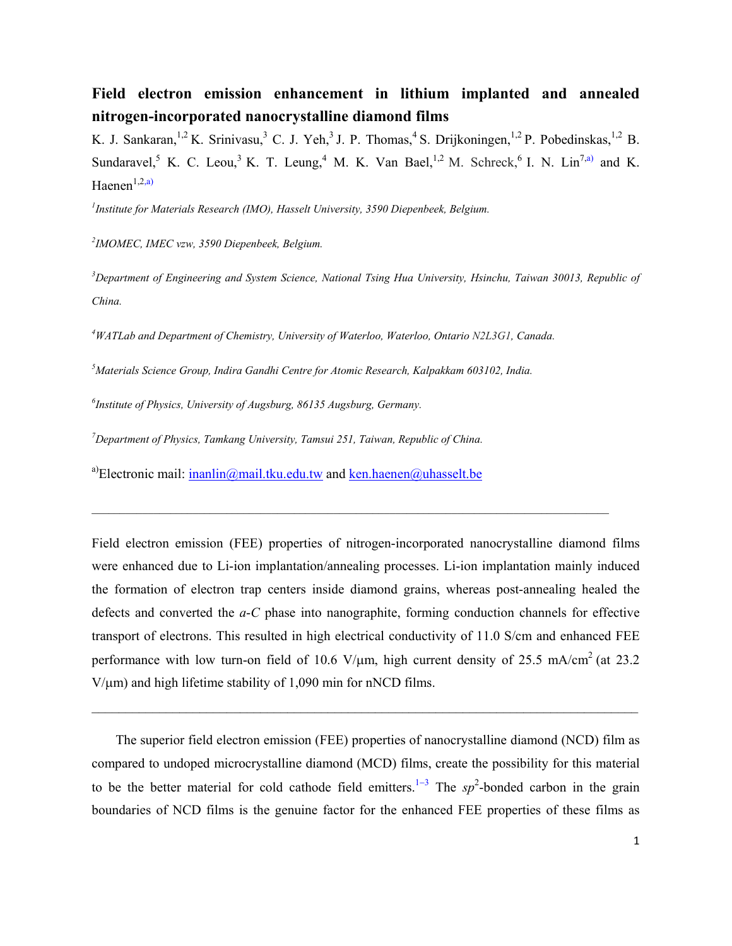## **Field electron emission enhancement in lithium implanted and annealed nitrogen-incorporated nanocrystalline diamond films**

K. J. Sankaran,<sup>1,2</sup> K. Srinivasu,<sup>3</sup> C. J. Yeh,<sup>3</sup> J. P. Thomas,<sup>4</sup> S. Drijkoningen,<sup>1,2</sup> P. Pobedinskas,<sup>1,2</sup> B. Sundaravel,<sup>5</sup> K. C. Leou,<sup>3</sup> K. T. Leung,<sup>4</sup> M. K. Van Bael,<sup>1,2</sup> M. Schreck,<sup>6</sup> I. N. Lin<sup>7,a)</sup> and K. Haenen $^{1,2,a)}$ 

<sup>1</sup> Institute for Materials Research (IMO), Hasselt University, 3590 Diepenbeek, Belgium.

*2 IMOMEC, IMEC vzw, 3590 Diepenbeek, Belgium.* 

<sup>3</sup>Department of Engineering and System Science, National Tsing Hua University, Hsinchu, Taiwan 30013, Republic of *China.* 

*4 WATLab and Department of Chemistry, University of Waterloo, Waterloo, Ontario N2L3G1, Canada.* 

*5 Materials Science Group, Indira Gandhi Centre for Atomic Research, Kalpakkam 603102, India.* 

*6 Institute of Physics, University of Augsburg, 86135 Augsburg, Germany.* 

*7 Department of Physics, Tamkang University, Tamsui 251, Taiwan, Republic of China.* 

<sup>a)</sup>Electronic mail: inanlin@mail.tku.edu.tw and ken.haenen@uhasselt.be

Field electron emission (FEE) properties of nitrogen-incorporated nanocrystalline diamond films were enhanced due to Li-ion implantation/annealing processes. Li-ion implantation mainly induced the formation of electron trap centers inside diamond grains, whereas post-annealing healed the defects and converted the *a*-*C* phase into nanographite, forming conduction channels for effective transport of electrons. This resulted in high electrical conductivity of 11.0 S/cm and enhanced FEE performance with low turn-on field of 10.6 V/ $\mu$ m, high current density of 25.5 mA/cm<sup>2</sup> (at 23.2)  $V/\mu$ m) and high lifetime stability of 1,090 min for nNCD films.

The superior field electron emission (FEE) properties of nanocrystalline diamond (NCD) film as compared to undoped microcrystalline diamond (MCD) films, create the possibility for this material to be the better material for cold cathode field emitters.<sup>1-3</sup> The  $sp^2$ -bonded carbon in the grain boundaries of NCD films is the genuine factor for the enhanced FEE properties of these films as

 $\mathcal{L}_\mathcal{L} = \{ \mathcal{L}_\mathcal{L} = \{ \mathcal{L}_\mathcal{L} = \{ \mathcal{L}_\mathcal{L} = \{ \mathcal{L}_\mathcal{L} = \{ \mathcal{L}_\mathcal{L} = \{ \mathcal{L}_\mathcal{L} = \{ \mathcal{L}_\mathcal{L} = \{ \mathcal{L}_\mathcal{L} = \{ \mathcal{L}_\mathcal{L} = \{ \mathcal{L}_\mathcal{L} = \{ \mathcal{L}_\mathcal{L} = \{ \mathcal{L}_\mathcal{L} = \{ \mathcal{L}_\mathcal{L} = \{ \mathcal{L}_\mathcal{$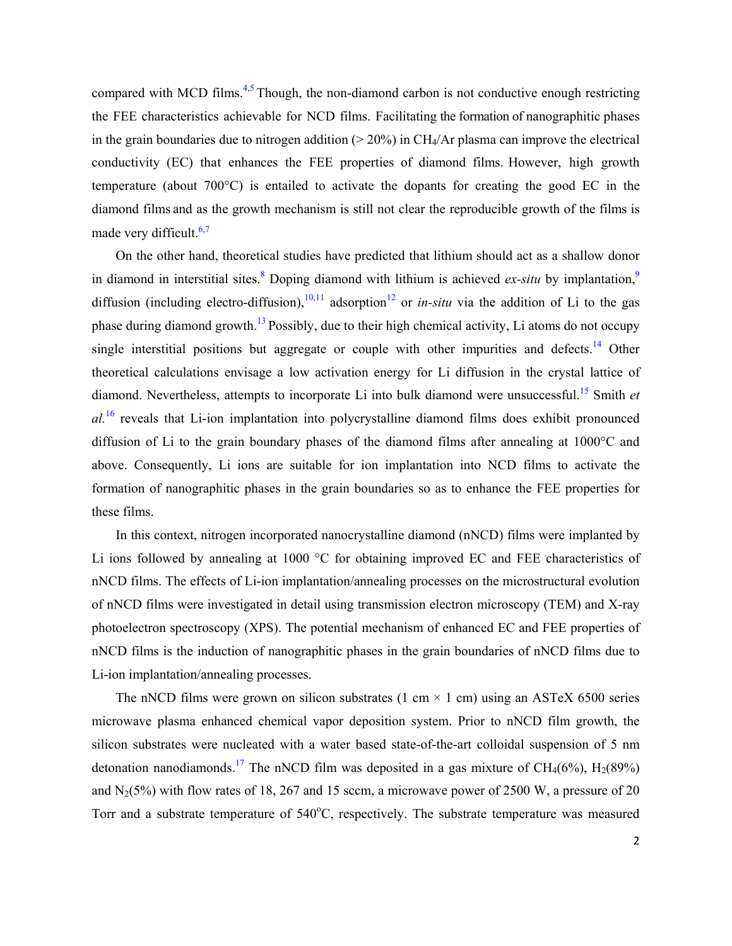compared with MCD films. $4.5$  Though, the non-diamond carbon is not conductive enough restricting the FEE characteristics achievable for NCD films. Facilitating the formation of nanographitic phases in the grain boundaries due to nitrogen addition ( $> 20\%$ ) in CH<sub>4</sub>/Ar plasma can improve the electrical conductivity (EC) that enhances the FEE properties of diamond films. However, high growth temperature (about  $700^{\circ}$ C) is entailed to activate the dopants for creating the good EC in the diamond films and as the growth mechanism is still not clear the reproducible growth of the films is made very difficult.<sup>6,7</sup>

On the other hand, theoretical studies have predicted that lithium should act as a shallow donor in diamond in interstitial sites.<sup>8</sup> Doping diamond with lithium is achieved *ex-situ* by implantation,<sup>9</sup> diffusion (including electro-diffusion),  $10,11$  adsorption<sup>12</sup> or *in-situ* via the addition of Li to the gas phase during diamond growth.13 Possibly, due to their high chemical activity, Li atoms do not occupy single interstitial positions but aggregate or couple with other impurities and defects.<sup>14</sup> Other theoretical calculations envisage a low activation energy for Li diffusion in the crystal lattice of diamond. Nevertheless, attempts to incorporate Li into bulk diamond were unsuccessful.15 Smith *et al.*16 reveals that Li-ion implantation into polycrystalline diamond films does exhibit pronounced diffusion of Li to the grain boundary phases of the diamond films after annealing at 1000°C and above. Consequently, Li ions are suitable for ion implantation into NCD films to activate the formation of nanographitic phases in the grain boundaries so as to enhance the FEE properties for these films.

In this context, nitrogen incorporated nanocrystalline diamond (nNCD) films were implanted by Li ions followed by annealing at 1000 °C for obtaining improved EC and FEE characteristics of nNCD films. The effects of Li-ion implantation/annealing processes on the microstructural evolution of nNCD films were investigated in detail using transmission electron microscopy (TEM) and X-ray photoelectron spectroscopy (XPS). The potential mechanism of enhanced EC and FEE properties of nNCD films is the induction of nanographitic phases in the grain boundaries of nNCD films due to Li-ion implantation/annealing processes.

The nNCD films were grown on silicon substrates (1 cm  $\times$  1 cm) using an ASTeX 6500 series microwave plasma enhanced chemical vapor deposition system. Prior to nNCD film growth, the silicon substrates were nucleated with a water based state-of-the-art colloidal suspension of 5 nm detonation nanodiamonds.<sup>17</sup> The nNCD film was deposited in a gas mixture of CH<sub>4</sub>(6%), H<sub>2</sub>(89%) and  $N_2(5\%)$  with flow rates of 18, 267 and 15 sccm, a microwave power of 2500 W, a pressure of 20 Torr and a substrate temperature of 540°C, respectively. The substrate temperature was measured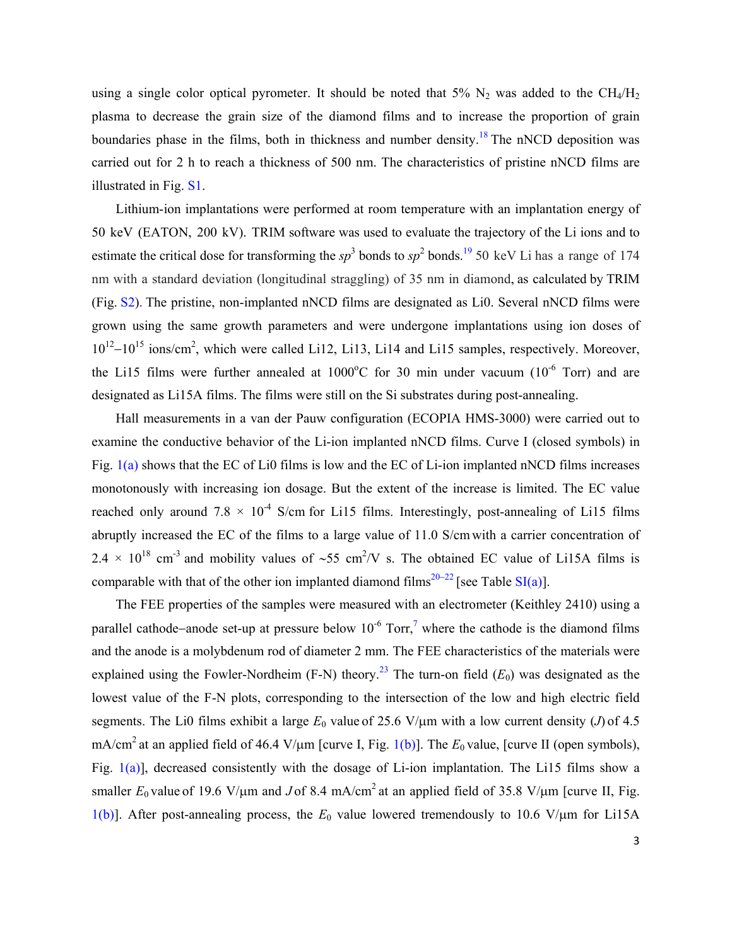using a single color optical pyrometer. It should be noted that 5%  $N_2$  was added to the CH<sub>4</sub>/H<sub>2</sub> plasma to decrease the grain size of the diamond films and to increase the proportion of grain boundaries phase in the films, both in thickness and number density.<sup>18</sup> The nNCD deposition was carried out for 2 h to reach a thickness of 500 nm. The characteristics of pristine nNCD films are illustrated in Fig. S1.

Lithium-ion implantations were performed at room temperature with an implantation energy of 50 keV (EATON, 200 kV). TRIM software was used to evaluate the trajectory of the Li ions and to estimate the critical dose for transforming the  $sp^3$  bonds to  $sp^2$  bonds.<sup>19</sup> 50 keV Li has a range of 174 nm with a standard deviation (longitudinal straggling) of 35 nm in diamond, as calculated by TRIM (Fig. S2). The pristine, non-implanted nNCD films are designated as Li0. Several nNCD films were grown using the same growth parameters and were undergone implantations using ion doses of  $10^{12} - 10^{15}$  ions/cm<sup>2</sup>, which were called Li12, Li13, Li14 and Li15 samples, respectively. Moreover, the Li15 films were further annealed at  $1000^{\circ}$ C for 30 min under vacuum (10<sup>-6</sup> Torr) and are designated as Li15A films. The films were still on the Si substrates during post-annealing.

Hall measurements in a van der Pauw configuration (ECOPIA HMS-3000) were carried out to examine the conductive behavior of the Li-ion implanted nNCD films. Curve I (closed symbols) in Fig. 1(a) shows that the EC of Li0 films is low and the EC of Li-ion implanted nNCD films increases monotonously with increasing ion dosage. But the extent of the increase is limited. The EC value reached only around  $7.8 \times 10^{-4}$  S/cm for Li15 films. Interestingly, post-annealing of Li15 films abruptly increased the EC of the films to a large value of 11.0 S/cmwith a carrier concentration of  $2.4 \times 10^{18}$  cm<sup>-3</sup> and mobility values of  $\sim 55$  cm<sup>2</sup>/V s. The obtained EC value of Li15A films is comparable with that of the other ion implanted diamond films<sup>20-22</sup> [see Table SI(a)].

The FEE properties of the samples were measured with an electrometer (Keithley 2410) using a parallel cathode–anode set-up at pressure below  $10^{-6}$  Torr,<sup>7</sup> where the cathode is the diamond films and the anode is a molybdenum rod of diameter 2 mm. The FEE characteristics of the materials were explained using the Fowler-Nordheim (F-N) theory.<sup>23</sup> The turn-on field  $(E_0)$  was designated as the lowest value of the F-N plots, corresponding to the intersection of the low and high electric field segments. The Li0 films exhibit a large  $E_0$  value of 25.6 V/ $\mu$ m with a low current density (*J*) of 4.5 mA/cm<sup>2</sup> at an applied field of 46.4 V/ $\mu$ m [curve I, Fig. 1(b)]. The  $E_0$  value, [curve II (open symbols), Fig.  $1(a)$ ], decreased consistently with the dosage of Li-ion implantation. The Li15 films show a smaller  $E_0$  value of 19.6 V/ $\mu$ m and *J* of 8.4 mA/cm<sup>2</sup> at an applied field of 35.8 V/ $\mu$ m [curve II, Fig. 1(b)]. After post-annealing process, the  $E_0$  value lowered tremendously to 10.6 V/ $\mu$ m for Li15A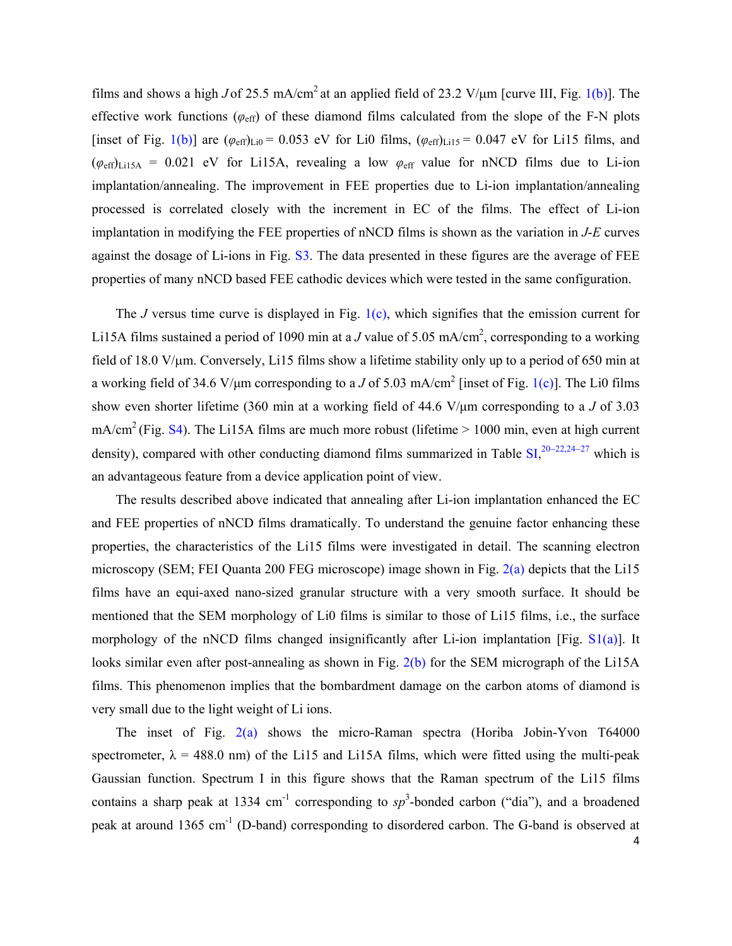films and shows a high *J* of 25.5 mA/cm<sup>2</sup> at an applied field of 23.2 V/ $\mu$ m [curve III, Fig. 1(b)]. The effective work functions ( $\varphi_{\text{eff}}$ ) of these diamond films calculated from the slope of the F-N plots [inset of Fig. 1(b)] are  $(\varphi_{\text{eff}})_{\text{Li0}} = 0.053$  eV for Li0 films,  $(\varphi_{\text{eff}})_{\text{Li15}} = 0.047$  eV for Li15 films, and  $(\varphi_{\text{eff}})_{\text{Li15A}} = 0.021$  eV for Li15A, revealing a low  $\varphi_{\text{eff}}$  value for nNCD films due to Li-ion implantation/annealing. The improvement in FEE properties due to Li-ion implantation/annealing processed is correlated closely with the increment in EC of the films. The effect of Li-ion implantation in modifying the FEE properties of nNCD films is shown as the variation in *J*-*E* curves against the dosage of Li-ions in Fig. S3. The data presented in these figures are the average of FEE properties of many nNCD based FEE cathodic devices which were tested in the same configuration.

The *J* versus time curve is displayed in Fig. 1(c), which signifies that the emission current for Li15A films sustained a period of 1090 min at a *J* value of 5.05 mA/cm<sup>2</sup>, corresponding to a working field of 18.0 V/ $\mu$ m. Conversely, Li15 films show a lifetime stability only up to a period of 650 min at a working field of 34.6 V/µm corresponding to a *J* of 5.03 mA/cm<sup>2</sup> [inset of Fig. 1(c)]. The Li0 films show even shorter lifetime (360 min at a working field of 44.6 V/μm corresponding to a *J* of 3.03  $mA/cm<sup>2</sup>$  (Fig. S4). The Li15A films are much more robust (lifetime  $> 1000$  min, even at high current density), compared with other conducting diamond films summarized in Table  $SI$ ,  $20-22,24-27$  which is an advantageous feature from a device application point of view.

The results described above indicated that annealing after Li-ion implantation enhanced the EC and FEE properties of nNCD films dramatically. To understand the genuine factor enhancing these properties, the characteristics of the Li15 films were investigated in detail. The scanning electron microscopy (SEM; FEI Quanta 200 FEG microscope) image shown in Fig. 2(a) depicts that the Li15 films have an equi-axed nano-sized granular structure with a very smooth surface. It should be mentioned that the SEM morphology of Li0 films is similar to those of Li15 films, i.e., the surface morphology of the nNCD films changed insignificantly after Li-ion implantation [Fig. S1(a)]. It looks similar even after post-annealing as shown in Fig. 2(b) for the SEM micrograph of the Li15A films. This phenomenon implies that the bombardment damage on the carbon atoms of diamond is very small due to the light weight of Li ions.

4 The inset of Fig. 2(a) shows the micro-Raman spectra (Horiba Jobin-Yvon T64000 spectrometer,  $\lambda = 488.0$  nm) of the Li15 and Li15A films, which were fitted using the multi-peak Gaussian function. Spectrum I in this figure shows that the Raman spectrum of the Li15 films contains a sharp peak at 1334 cm<sup>-1</sup> corresponding to  $sp^3$ -bonded carbon ("dia"), and a broadened peak at around 1365 cm<sup>-1</sup> (D-band) corresponding to disordered carbon. The G-band is observed at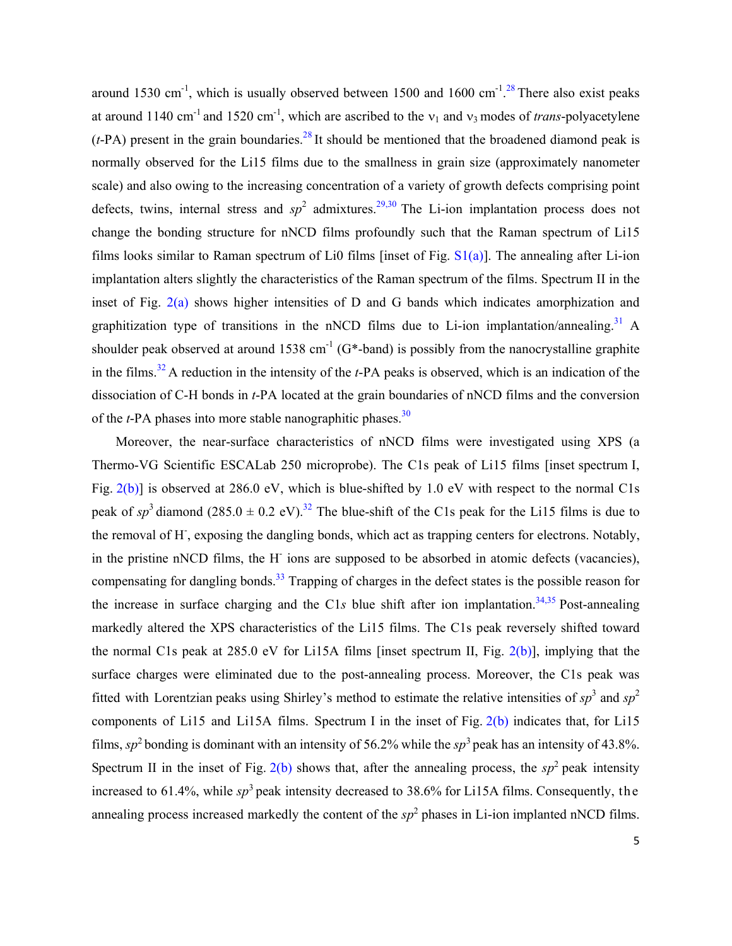around 1530 cm<sup>-1</sup>, which is usually observed between 1500 and 1600 cm<sup>-1</sup>.<sup>28</sup> There also exist peaks at around 1140 cm<sup>-1</sup> and 1520 cm<sup>-1</sup>, which are ascribed to the  $v_1$  and  $v_3$  modes of *trans*-polyacetylene  $(t-PA)$  present in the grain boundaries.<sup>28</sup> It should be mentioned that the broadened diamond peak is normally observed for the Li15 films due to the smallness in grain size (approximately nanometer scale) and also owing to the increasing concentration of a variety of growth defects comprising point defects, twins, internal stress and  $sp^2$  admixtures.<sup>29,30</sup> The Li-ion implantation process does not change the bonding structure for nNCD films profoundly such that the Raman spectrum of Li15 films looks similar to Raman spectrum of Li0 films [inset of Fig.  $S1(a)$ ]. The annealing after Li-ion implantation alters slightly the characteristics of the Raman spectrum of the films. Spectrum II in the inset of Fig.  $2(a)$  shows higher intensities of D and G bands which indicates amorphization and graphitization type of transitions in the nNCD films due to Li-ion implantation/annealing.<sup>31</sup> A shoulder peak observed at around 1538 cm<sup>-1</sup> (G<sup>\*</sup>-band) is possibly from the nanocrystalline graphite in the films.32 A reduction in the intensity of the *t*-PA peaks is observed, which is an indication of the dissociation of C-H bonds in *t*-PA located at the grain boundaries of nNCD films and the conversion of the  $t$ -PA phases into more stable nanographitic phases.<sup>30</sup>

Moreover, the near-surface characteristics of nNCD films were investigated using XPS (a Thermo-VG Scientific ESCALab 250 microprobe). The C1s peak of Li15 films [inset spectrum I, Fig.  $2(b)$ ] is observed at 286.0 eV, which is blue-shifted by 1.0 eV with respect to the normal C1s peak of  $sp^3$  diamond (285.0  $\pm$  0.2 eV).<sup>32</sup> The blue-shift of the C1s peak for the Li15 films is due to the removal of H<sup>-</sup>, exposing the dangling bonds, which act as trapping centers for electrons. Notably, in the pristine nNCD films, the H<sup>-</sup> ions are supposed to be absorbed in atomic defects (vacancies), compensating for dangling bonds.<sup>33</sup> Trapping of charges in the defect states is the possible reason for the increase in surface charging and the C1s blue shift after ion implantation.<sup>34,35</sup> Post-annealing markedly altered the XPS characteristics of the Li15 films. The C1s peak reversely shifted toward the normal C1s peak at 285.0 eV for Li15A films [inset spectrum II, Fig. 2(b)], implying that the surface charges were eliminated due to the post-annealing process. Moreover, the C1s peak was fitted with Lorentzian peaks using Shirley's method to estimate the relative intensities of  $sp^3$  and  $sp^2$ components of Li15 and Li15A films. Spectrum I in the inset of Fig.  $2(b)$  indicates that, for Li15 films,  $sp^2$  bonding is dominant with an intensity of 56.2% while the  $sp^3$  peak has an intensity of 43.8%. Spectrum II in the inset of Fig.  $2(b)$  shows that, after the annealing process, the  $sp^2$  peak intensity increased to  $61.4\%$ , while  $sp^3$  peak intensity decreased to 38.6% for Li15A films. Consequently, the annealing process increased markedly the content of the  $sp^2$  phases in Li-ion implanted nNCD films.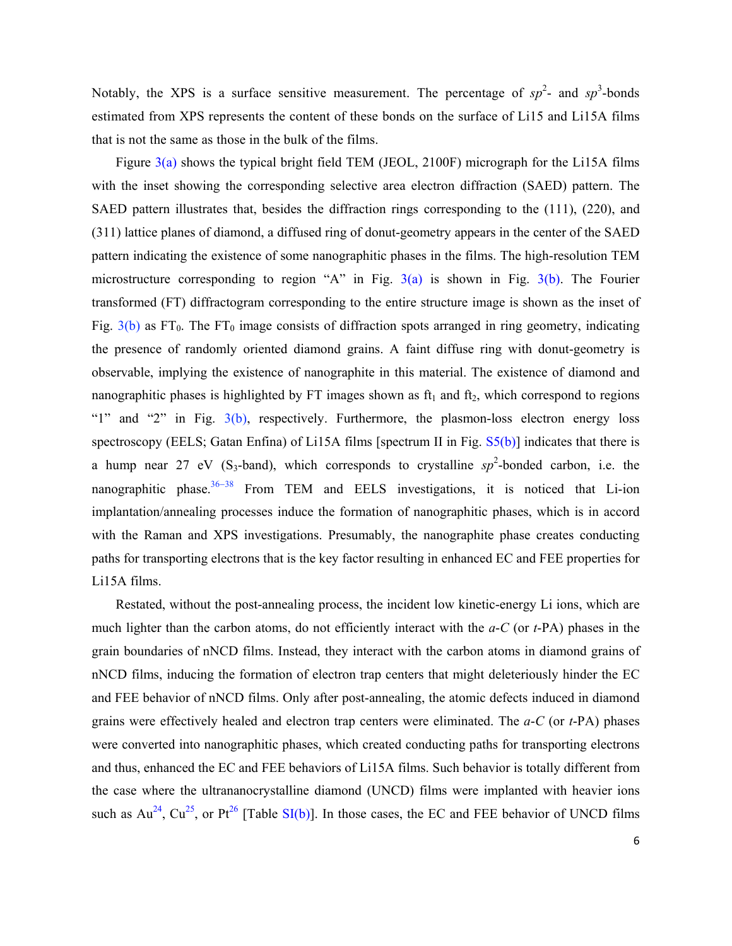Notably, the XPS is a surface sensitive measurement. The percentage of  $sp^2$ - and  $sp^3$ -bonds estimated from XPS represents the content of these bonds on the surface of Li15 and Li15A films that is not the same as those in the bulk of the films.

Figure 3(a) shows the typical bright field TEM (JEOL, 2100F) micrograph for the Li15A films with the inset showing the corresponding selective area electron diffraction (SAED) pattern. The SAED pattern illustrates that, besides the diffraction rings corresponding to the (111), (220), and (311) lattice planes of diamond, a diffused ring of donut-geometry appears in the center of the SAED pattern indicating the existence of some nanographitic phases in the films. The high-resolution TEM microstructure corresponding to region "A" in Fig.  $3(a)$  is shown in Fig.  $3(b)$ . The Fourier transformed (FT) diffractogram corresponding to the entire structure image is shown as the inset of Fig.  $3(b)$  as FT<sub>0</sub>. The FT<sub>0</sub> image consists of diffraction spots arranged in ring geometry, indicating the presence of randomly oriented diamond grains. A faint diffuse ring with donut-geometry is observable, implying the existence of nanographite in this material. The existence of diamond and nanographitic phases is highlighted by FT images shown as  $ft<sub>1</sub>$  and  $ft<sub>2</sub>$ , which correspond to regions "1" and "2" in Fig.  $3(b)$ , respectively. Furthermore, the plasmon-loss electron energy loss spectroscopy (EELS; Gatan Enfina) of Li15A films [spectrum II in Fig.  $S5(b)$ ] indicates that there is a hump near 27 eV  $(S_3$ -band), which corresponds to crystalline  $sp^2$ -bonded carbon, i.e. the nanographitic phase.<sup>36-38</sup> From TEM and EELS investigations, it is noticed that Li-ion implantation/annealing processes induce the formation of nanographitic phases, which is in accord with the Raman and XPS investigations. Presumably, the nanographite phase creates conducting paths for transporting electrons that is the key factor resulting in enhanced EC and FEE properties for Li15A films.

Restated, without the post-annealing process, the incident low kinetic-energy Li ions, which are much lighter than the carbon atoms, do not efficiently interact with the *a*-*C* (or *t*-PA) phases in the grain boundaries of nNCD films. Instead, they interact with the carbon atoms in diamond grains of nNCD films, inducing the formation of electron trap centers that might deleteriously hinder the EC and FEE behavior of nNCD films. Only after post-annealing, the atomic defects induced in diamond grains were effectively healed and electron trap centers were eliminated. The *a*-*C* (or *t*-PA) phases were converted into nanographitic phases, which created conducting paths for transporting electrons and thus, enhanced the EC and FEE behaviors of Li15A films. Such behavior is totally different from the case where the ultrananocrystalline diamond (UNCD) films were implanted with heavier ions such as  $Au^{24}$ ,  $Cu^{25}$ , or Pt<sup>26</sup> [Table SI(b)]. In those cases, the EC and FEE behavior of UNCD films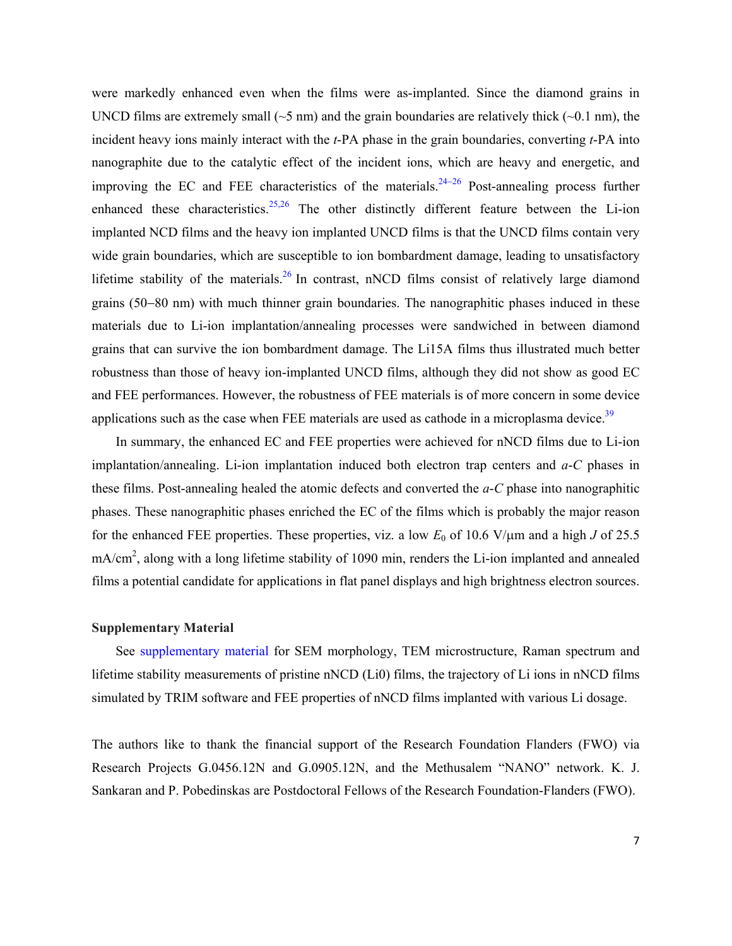were markedly enhanced even when the films were as-implanted. Since the diamond grains in UNCD films are extremely small ( $\sim$ 5 nm) and the grain boundaries are relatively thick ( $\sim$ 0.1 nm), the incident heavy ions mainly interact with the *t*-PA phase in the grain boundaries, converting *t*-PA into nanographite due to the catalytic effect of the incident ions, which are heavy and energetic, and improving the EC and FEE characteristics of the materials.<sup>24-26</sup> Post-annealing process further enhanced these characteristics.<sup>25,26</sup> The other distinctly different feature between the Li-ion implanted NCD films and the heavy ion implanted UNCD films is that the UNCD films contain very wide grain boundaries, which are susceptible to ion bombardment damage, leading to unsatisfactory lifetime stability of the materials.<sup>26</sup> In contrast, nNCD films consist of relatively large diamond grains (50–80 nm) with much thinner grain boundaries. The nanographitic phases induced in these materials due to Li-ion implantation/annealing processes were sandwiched in between diamond grains that can survive the ion bombardment damage. The Li15A films thus illustrated much better robustness than those of heavy ion-implanted UNCD films, although they did not show as good EC and FEE performances. However, the robustness of FEE materials is of more concern in some device applications such as the case when FEE materials are used as cathode in a microplasma device.<sup>39</sup>

In summary, the enhanced EC and FEE properties were achieved for nNCD films due to Li-ion implantation/annealing. Li-ion implantation induced both electron trap centers and *a*-*C* phases in these films. Post-annealing healed the atomic defects and converted the *a*-*C* phase into nanographitic phases. These nanographitic phases enriched the EC of the films which is probably the major reason for the enhanced FEE properties. These properties, viz. a low  $E_0$  of 10.6 V/ $\mu$ m and a high *J* of 25.5  $mA/cm<sup>2</sup>$ , along with a long lifetime stability of 1090 min, renders the Li-ion implanted and annealed films a potential candidate for applications in flat panel displays and high brightness electron sources.

## **Supplementary Material**

See supplementary material for SEM morphology, TEM microstructure, Raman spectrum and lifetime stability measurements of pristine nNCD (Li0) films, the trajectory of Li ions in nNCD films simulated by TRIM software and FEE properties of nNCD films implanted with various Li dosage.

The authors like to thank the financial support of the Research Foundation Flanders (FWO) via Research Projects G.0456.12N and G.0905.12N, and the Methusalem "NANO" network. K. J. Sankaran and P. Pobedinskas are Postdoctoral Fellows of the Research Foundation-Flanders (FWO).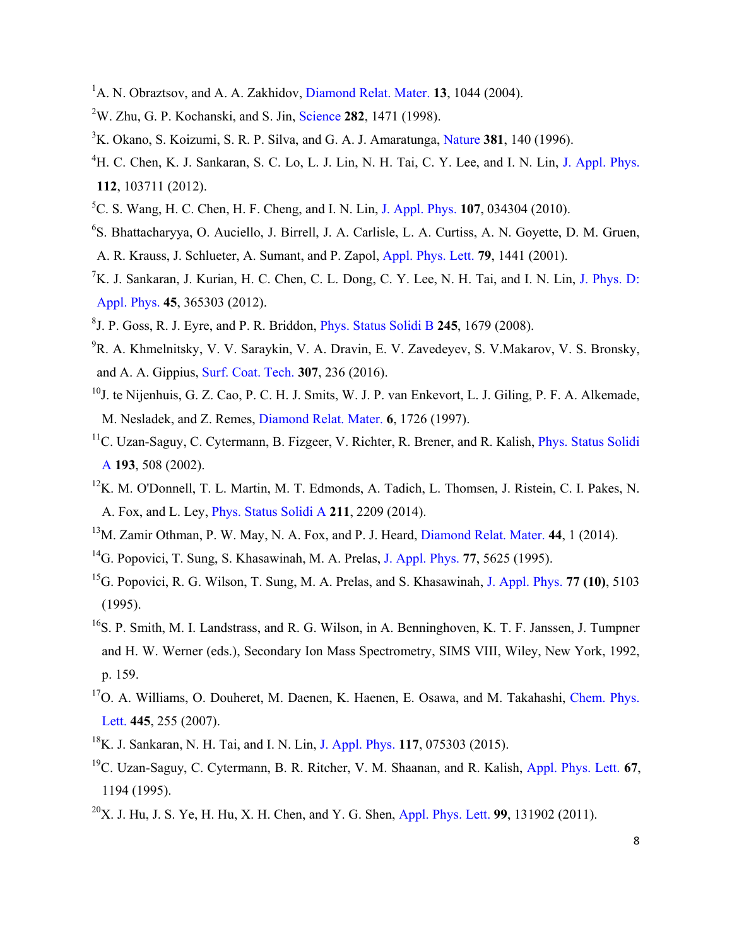- <sup>1</sup>A. N. Obraztsov, and A. A. Zakhidov, Diamond Relat. Mater. **13**, 1044 (2004).
- 2 W. Zhu, G. P. Kochanski, and S. Jin, Science **282**, 1471 (1998).
- 3 K. Okano, S. Koizumi, S. R. P. Silva, and G. A. J. Amaratunga, Nature **381**, 140 (1996).
- <sup>4</sup>H. C. Chen, K. J. Sankaran, S. C. Lo, L. J. Lin, N. H. Tai, C. Y. Lee, and I. N. Lin, J. Appl. Phys. **112**, 103711 (2012).
- 5 C. S. Wang, H. C. Chen, H. F. Cheng, and I. N. Lin, J. Appl. Phys. **107**, 034304 (2010).
- 6 S. Bhattacharyya, O. Auciello, J. Birrell, J. A. Carlisle, L. A. Curtiss, A. N. Goyette, D. M. Gruen,
- A. R. Krauss, J. Schlueter, A. Sumant, and P. Zapol, Appl. Phys. Lett. **79**, 1441 (2001).
- ${}^{7}K$ . J. Sankaran, J. Kurian, H. C. Chen, C. L. Dong, C. Y. Lee, N. H. Tai, and I. N. Lin, J. Phys. D: Appl. Phys. **45**, 365303 (2012).
- 8 J. P. Goss, R. J. Eyre, and P. R. Briddon, Phys. Status Solidi B **245**, 1679 (2008).
- <sup>9</sup>R. A. Khmelnitsky, V. V. Saraykin, V. A. Dravin, E. V. Zavedeyev, S. V. Makarov, V. S. Bronsky, and A. A. Gippius, Surf. Coat. Tech. **307**, 236 (2016).
- <sup>10</sup>J. te Nijenhuis, G. Z. Cao, P. C. H. J. Smits, W. J. P. van Enkevort, L. J. Giling, P. F. A. Alkemade, M. Nesladek, and Z. Remes, Diamond Relat. Mater. **6**, 1726 (1997).
- <sup>11</sup>C. Uzan-Saguy, C. Cytermann, B. Fizgeer, V. Richter, R. Brener, and R. Kalish, *Phys. Status Solidi* A **193**, 508 (2002).
- <sup>12</sup>K. M. O'Donnell, T. L. Martin, M. T. Edmonds, A. Tadich, L. Thomsen, J. Ristein, C. I. Pakes, N. A. Fox, and L. Ley, Phys. Status Solidi A **211**, 2209 (2014).
- 13M. Zamir Othman, P. W. May, N. A. Fox, and P. J. Heard, Diamond Relat. Mater. **44**, 1 (2014).
- 14G. Popovici, T. Sung, S. Khasawinah, M. A. Prelas, J. Appl. Phys. **77**, 5625 (1995).
- 15G. Popovici, R. G. Wilson, T. Sung, M. A. Prelas, and S. Khasawinah, J. Appl. Phys. **77 (10)**, 5103 (1995).
- $^{16}$ S. P. Smith, M. I. Landstrass, and R. G. Wilson, in A. Benninghoven, K. T. F. Janssen, J. Tumpner and H. W. Werner (eds.), Secondary Ion Mass Spectrometry, SIMS VIII, Wiley, New York, 1992, p. 159.
- <sup>17</sup>O. A. Williams, O. Douheret, M. Daenen, K. Haenen, E. Osawa, and M. Takahashi, Chem. Phys. Lett. **445**, 255 (2007).
- 18K. J. Sankaran, N. H. Tai, and I. N. Lin, J. Appl. Phys. **117**, 075303 (2015).
- 19C. Uzan-Saguy, C. Cytermann, B. R. Ritcher, V. M. Shaanan, and R. Kalish, Appl. Phys. Lett. **67**, 1194 (1995).
- 20X. J. Hu, J. S. Ye, H. Hu, X. H. Chen, and Y. G. Shen, Appl. Phys. Lett. **99**, 131902 (2011).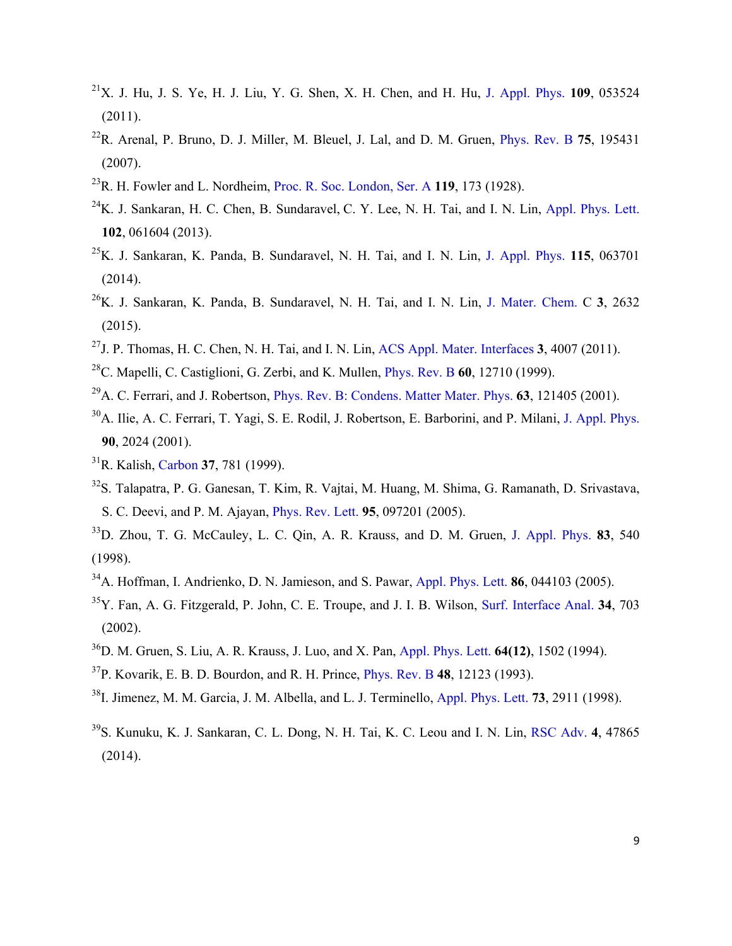- $21X$ . J. Hu, J. S. Ye, H. J. Liu, Y. G. Shen, X. H. Chen, and H. Hu, J. Appl. Phys. 109, 053524 (2011).
- 22R. Arenal, P. Bruno, D. J. Miller, M. Bleuel, J. Lal, and D. M. Gruen, Phys. Rev. B **75**, 195431 (2007).
- 23R. H. Fowler and L. Nordheim, Proc. R. Soc. London, Ser. A **119**, 173 (1928).
- $24$ K. J. Sankaran, H. C. Chen, B. Sundaravel, C. Y. Lee, N. H. Tai, and I. N. Lin, Appl. Phys. Lett. **102**, 061604 (2013).
- 25K. J. Sankaran, K. Panda, B. Sundaravel, N. H. Tai, and I. N. Lin, J. Appl. Phys. **115**, 063701 (2014).
- 26K. J. Sankaran, K. Panda, B. Sundaravel, N. H. Tai, and I. N. Lin, J. Mater. Chem. C **3**, 2632 (2015).
- 27J. P. Thomas, H. C. Chen, N. H. Tai, and I. N. Lin, ACS Appl. Mater. Interfaces **3**, 4007 (2011).
- 28C. Mapelli, C. Castiglioni, G. Zerbi, and K. Mullen, Phys. Rev. B **60**, 12710 (1999).
- 29A. C. Ferrari, and J. Robertson, Phys. Rev. B: Condens. Matter Mater. Phys. **63**, 121405 (2001).
- <sup>30</sup>A. Ilie, A. C. Ferrari, T. Yagi, S. E. Rodil, J. Robertson, E. Barborini, and P. Milani, J. Appl. Phys. **90**, 2024 (2001).
- 31R. Kalish, Carbon **37**, 781 (1999).
- 32S. Talapatra, P. G. Ganesan, T. Kim, R. Vajtai, M. Huang, M. Shima, G. Ramanath, D. Srivastava, S. C. Deevi, and P. M. Ajayan, Phys. Rev. Lett. **95**, 097201 (2005).
- 33D. Zhou, T. G. McCauley, L. C. Qin, A. R. Krauss, and D. M. Gruen, J. Appl. Phys. **83**, 540 (1998).
- 34A. Hoffman, I. Andrienko, D. N. Jamieson, and S. Pawar, Appl. Phys. Lett. **86**, 044103 (2005).
- 35Y. Fan, A. G. Fitzgerald, P. John, C. E. Troupe, and J. I. B. Wilson, Surf. Interface Anal. **34**, 703 (2002).
- 36D. M. Gruen, S. Liu, A. R. Krauss, J. Luo, and X. Pan, Appl. Phys. Lett. **64(12)**, 1502 (1994).
- 37P. Kovarik, E. B. D. Bourdon, and R. H. Prince, Phys. Rev. B **48**, 12123 (1993).
- 38I. Jimenez, M. M. Garcia, J. M. Albella, and L. J. Terminello, Appl. Phys. Lett. **73**, 2911 (1998).
- 39S. Kunuku, K. J. Sankaran, C. L. Dong, N. H. Tai, K. C. Leou and I. N. Lin, RSC Adv. **4**, 47865 (2014).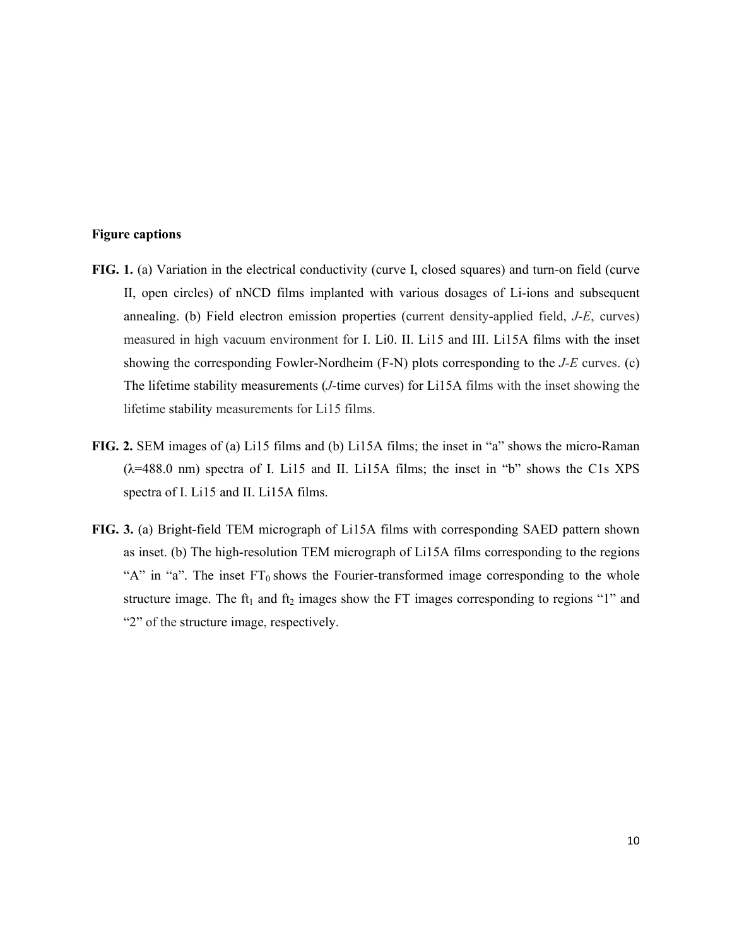## **Figure captions**

- **FIG. 1.** (a) Variation in the electrical conductivity (curve I, closed squares) and turn-on field (curve II, open circles) of nNCD films implanted with various dosages of Li-ions and subsequent annealing. (b) Field electron emission properties (current density-applied field, *J-E*, curves) measured in high vacuum environment for I. Li0. II. Li15 and III. Li15A films with the inset showing the corresponding Fowler-Nordheim (F-N) plots corresponding to the *J-E* curves. (c) The lifetime stability measurements (*J*-time curves) for Li15A films with the inset showing the lifetime stability measurements for Li15 films.
- **FIG. 2.** SEM images of (a) Li15 films and (b) Li15A films; the inset in "a" shows the micro-Raman  $(\lambda = 488.0 \text{ nm})$  spectra of I. Li15 and II. Li15A films; the inset in "b" shows the C1s XPS spectra of I. Li15 and II. Li15A films.
- **FIG. 3.** (a) Bright-field TEM micrograph of Li15A films with corresponding SAED pattern shown as inset. (b) The high-resolution TEM micrograph of Li15A films corresponding to the regions "A" in "a". The inset  $FT_0$  shows the Fourier-transformed image corresponding to the whole structure image. The  $ft_1$  and  $ft_2$  images show the FT images corresponding to regions "1" and "2" of the structure image, respectively.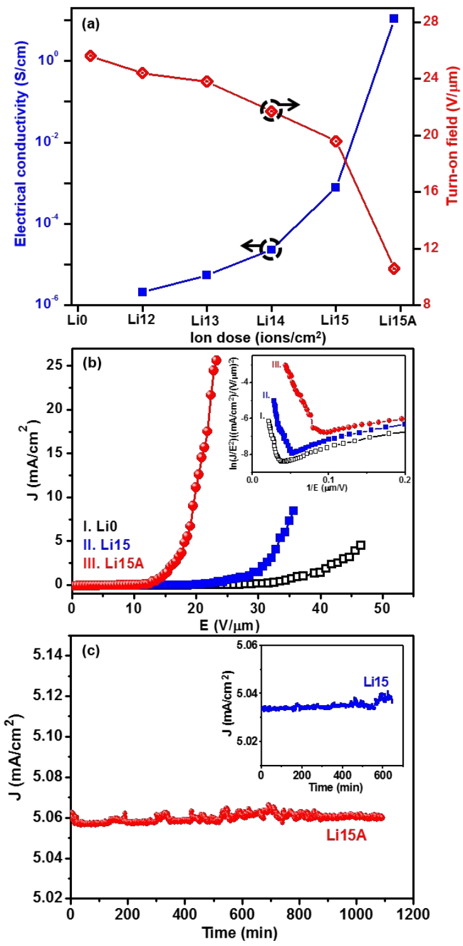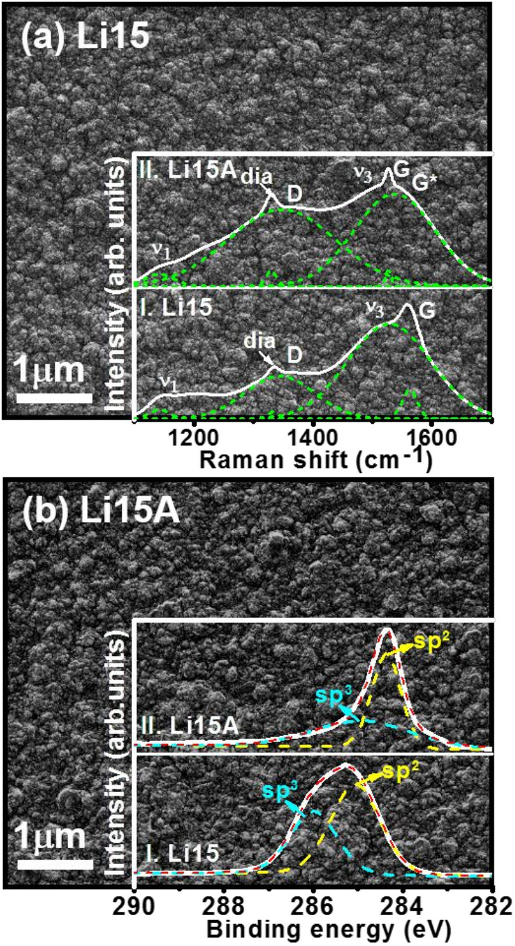